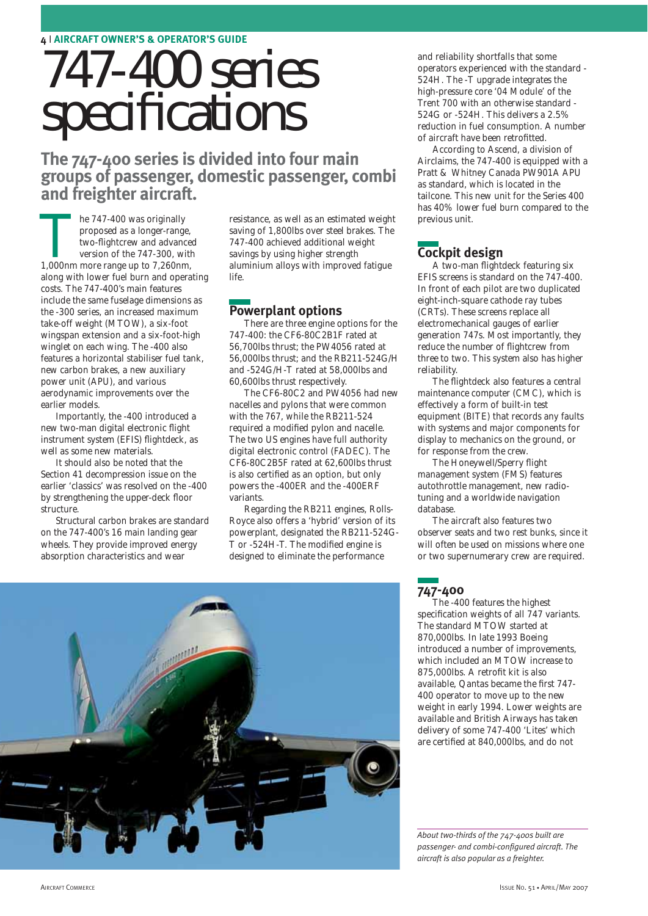# 747-400 series specifications

**The 747-400 series is divided into four main groups of passenger, domestic passenger, combi and freighter aircraft.** 

**The 747-400 was originally proposed as a longer-range, two-flightcrew and advance version of the 747-300, with 1,000nm more range up to 7,260nm,** proposed as a longer-range, two-flightcrew and advanced version of the 747-300, with along with lower fuel burn and operating costs. The 747-400's main features include the same fuselage dimensions as the -300 series, an increased maximum take-off weight (MTOW), a six-foot wingspan extension and a six-foot-high winglet on each wing. The -400 also features a horizontal stabiliser fuel tank, new carbon brakes, a new auxiliary power unit (APU), and various aerodynamic improvements over the earlier models.

Importantly, the -400 introduced a new two-man digital electronic flight instrument system (EFIS) flightdeck, as well as some new materials.

It should also be noted that the Section 41 decompression issue on the earlier 'classics' was resolved on the -400 by strengthening the upper-deck floor structure.

Structural carbon brakes are standard on the 747-400's 16 main landing gear wheels. They provide improved energy absorption characteristics and wear

resistance, as well as an estimated weight saving of 1,800lbs over steel brakes. The 747-400 achieved additional weight savings by using higher strength aluminium alloys with improved fatigue life.

## **Powerplant options**

There are three engine options for the 747-400: the CF6-80C2B1F rated at 56,700lbs thrust; the PW4056 rated at 56,000lbs thrust; and the RB211-524G/H and -524G/H-T rated at 58,000lbs and 60,600lbs thrust respectively.

The CF6-80C2 and PW4056 had new nacelles and pylons that were common with the 767, while the RB211-524 required a modified pylon and nacelle. The two US engines have full authority digital electronic control (FADEC). The CF6-80C2B5F rated at 62,600lbs thrust is also certified as an option, but only powers the -400ER and the -400ERF variants.

Regarding the RB211 engines, Rolls-Royce also offers a 'hybrid' version of its powerplant, designated the RB211-524G-T or -524H-T. The modified engine is designed to eliminate the performance

and reliability shortfalls that some operators experienced with the standard - 524H. The -T upgrade integrates the high-pressure core '04 Module' of the Trent 700 with an otherwise standard - 524G or -524H. This delivers a 2.5% reduction in fuel consumption. A number of aircraft have been retrofitted.

According to Ascend, a division of Airclaims, the 747-400 is equipped with a Pratt & Whitney Canada PW901A APU as standard, which is located in the tailcone. This new unit for the Series 400 has 40% lower fuel burn compared to the previous unit.

# **Cockpit design**

A two-man flightdeck featuring six EFIS screens is standard on the 747-400. In front of each pilot are two duplicated eight-inch-square cathode ray tubes (CRTs). These screens replace all electromechanical gauges of earlier generation 747s. Most importantly, they reduce the number of flightcrew from three to two. This system also has higher reliability.

The flightdeck also features a central maintenance computer (CMC), which is effectively a form of built-in test equipment (BITE) that records any faults with systems and major components for display to mechanics on the ground, or for response from the crew.

The Honeywell/Sperry flight management system (FMS) features autothrottle management, new radiotuning and a worldwide navigation database.

The aircraft also features two observer seats and two rest bunks, since it will often be used on missions where one or two supernumerary crew are required.



**747-400** 

The -400 features the highest specification weights of all 747 variants. The standard MTOW started at 870,000lbs. In late 1993 Boeing introduced a number of improvements, which included an MTOW increase to 875,000lbs. A retrofit kit is also available, Qantas became the first 747- 400 operator to move up to the new weight in early 1994. Lower weights are available and British Airways has taken delivery of some 747-400 'Lites' which are certified at 840,000lbs, and do not

*About two-thirds of the 747-400s built are passenger- and combi-configured aircraft. The aircraft is also popular as a freighter.*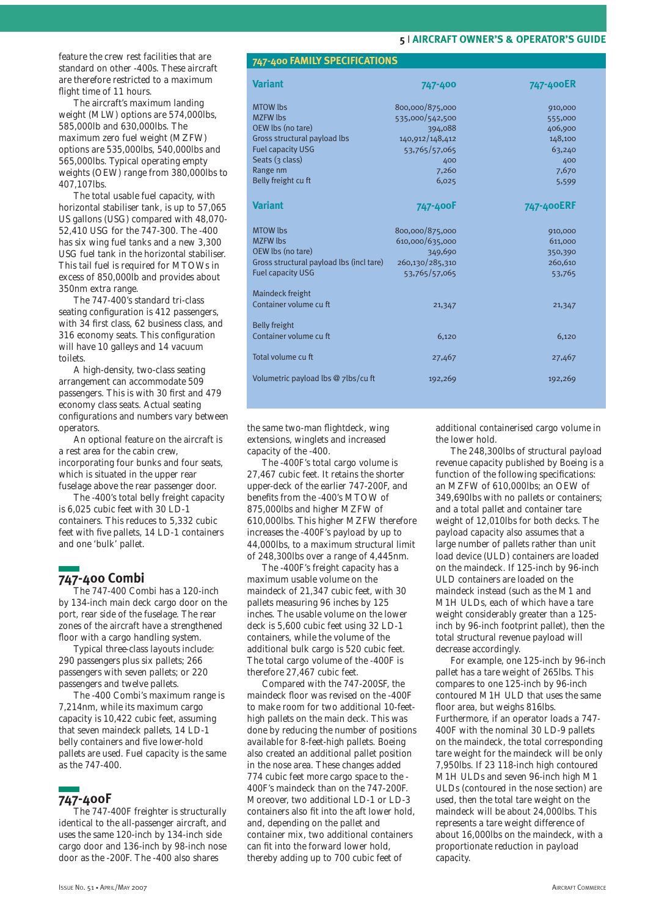feature the crew rest facilities that are standard on other -400s. These aircraft are therefore restricted to a maximum flight time of 11 hours.

The aircraft's maximum landing weight (MLW) options are 574,000lbs, 585,000lb and 630,000lbs. The maximum zero fuel weight (MZFW) options are 535,000lbs, 540,000lbs and 565,000lbs. Typical operating empty weights (OEW) range from 380,000lbs to 407,107lbs.

The total usable fuel capacity, with horizontal stabiliser tank, is up to 57,065 US gallons (USG) compared with 48,070- 52,410 USG for the 747-300. The -400 has six wing fuel tanks and a new 3,300 USG fuel tank in the horizontal stabiliser. This tail fuel is required for MTOWs in excess of 850,000lb and provides about 350nm extra range.

The 747-400's standard tri-class seating configuration is 412 passengers, with 34 first class, 62 business class, and 316 economy seats. This configuration will have 10 galleys and 14 vacuum toilets.

A high-density, two-class seating arrangement can accommodate 509 passengers. This is with 30 first and 479 economy class seats. Actual seating configurations and numbers vary between operators.

An optional feature on the aircraft is a rest area for the cabin crew, incorporating four bunks and four seats, which is situated in the upper rear fuselage above the rear passenger door.

The -400's total belly freight capacity is 6,025 cubic feet with 30 LD-1 containers. This reduces to 5,332 cubic feet with five pallets, 14 LD-1 containers and one 'bulk' pallet.

### **747-400 Combi**

The 747-400 Combi has a 120-inch by 134-inch main deck cargo door on the port, rear side of the fuselage. The rear zones of the aircraft have a strengthened floor with a cargo handling system.

Typical three-class layouts include: 290 passengers plus six pallets; 266 passengers with seven pallets; or 220 passengers and twelve pallets.

The -400 Combi's maximum range is 7,214nm, while its maximum cargo capacity is 10,422 cubic feet, assuming that seven maindeck pallets, 14 LD-1 belly containers and five lower-hold pallets are used. Fuel capacity is the same as the 747-400.

# **747-400F**

The 747-400F freighter is structurally identical to the all-passenger aircraft, and uses the same 120-inch by 134-inch side cargo door and 136-inch by 98-inch nose door as the -200F. The -400 also shares

#### **747-400 FAMILY SPECIFICATIONS**

| <b>Variant</b>                           | 747-400         | 747-400ER  |
|------------------------------------------|-----------------|------------|
| <b>MTOW lbs</b>                          | 800,000/875,000 | 910,000    |
| <b>MZFW lbs</b>                          | 535,000/542,500 | 555,000    |
| OEW lbs (no tare)                        | 394,088         | 406,900    |
| Gross structural payload lbs             | 140,912/148,412 | 148,100    |
| <b>Fuel capacity USG</b>                 | 53,765/57,065   | 63,240     |
| Seats (3 class)                          | 400             | 400        |
| Range nm                                 | 7,260           | 7,670      |
| Belly freight cu ft                      | 6,025           | 5,599      |
| <b>Variant</b>                           | 747-400F        | 747-400ERF |
| <b>MTOW lbs</b>                          | 800,000/875,000 | 910,000    |
| <b>MZFW lbs</b>                          | 610,000/635,000 | 611,000    |
| OEW lbs (no tare)                        | 349,690         | 350,390    |
| Gross structural payload lbs (incl tare) | 260,130/285,310 | 260,610    |
| <b>Fuel capacity USG</b>                 | 53,765/57,065   | 53,765     |
| Maindeck freight                         |                 |            |
| Container volume cu ft                   | 21,347          | 21,347     |
| <b>Belly freight</b>                     |                 |            |
| Container volume cu ft                   | 6,120           | 6,120      |
| Total volume cu ft                       | 27,467          | 27,467     |
| Volumetric payload lbs @ 7lbs/cu ft      | 192,269         | 192,269    |
|                                          |                 |            |

the same two-man flightdeck, wing extensions, winglets and increased capacity of the -400.

The -400F's total cargo volume is 27,467 cubic feet. It retains the shorter upper-deck of the earlier 747-200F, and benefits from the -400's MTOW of 875,000lbs and higher MZFW of 610,000lbs. This higher MZFW therefore increases the -400F's payload by up to 44,000lbs, to a maximum structural limit of 248,300lbs over a range of 4,445nm.

The -400F's freight capacity has a maximum usable volume on the maindeck of 21,347 cubic feet, with 30 pallets measuring 96 inches by 125 inches. The usable volume on the lower deck is 5,600 cubic feet using 32 LD-1 containers, while the volume of the additional bulk cargo is 520 cubic feet. The total cargo volume of the -400F is therefore 27,467 cubic feet.

Compared with the 747-200SF, the maindeck floor was revised on the -400F to make room for two additional 10-feethigh pallets on the main deck. This was done by reducing the number of positions available for 8-feet-high pallets. Boeing also created an additional pallet position in the nose area. These changes added 774 cubic feet more cargo space to the - 400F's maindeck than on the 747-200F. Moreover, two additional LD-1 or LD-3 containers also fit into the aft lower hold, and, depending on the pallet and container mix, two additional containers can fit into the forward lower hold, thereby adding up to 700 cubic feet of

additional containerised cargo volume in the lower hold.

The 248,300lbs of structural payload revenue capacity published by Boeing is a function of the following specifications: an MZFW of 610,000lbs; an OEW of 349,690lbs with no pallets or containers; and a total pallet and container tare weight of 12,010lbs for both decks. The payload capacity also assumes that a large number of pallets rather than unit load device (ULD) containers are loaded on the maindeck. If 125-inch by 96-inch ULD containers are loaded on the maindeck instead (such as the M1 and M1H ULDs, each of which have a tare weight considerably greater than a 125 inch by 96-inch footprint pallet), then the total structural revenue payload will decrease accordingly.

For example, one 125-inch by 96-inch pallet has a tare weight of 265lbs. This compares to one 125-inch by 96-inch contoured M1H ULD that uses the same floor area, but weighs 816lbs. Furthermore, if an operator loads a 747- 400F with the nominal 30 LD-9 pallets on the maindeck, the total corresponding tare weight for the maindeck will be only 7,950lbs. If 23 118-inch high contoured M1H ULDs and seven 96-inch high M1 ULDs (contoured in the nose section) are used, then the total tare weight on the maindeck will be about 24,000lbs. This represents a tare weight difference of about 16,000lbs on the maindeck, with a proportionate reduction in payload capacity.